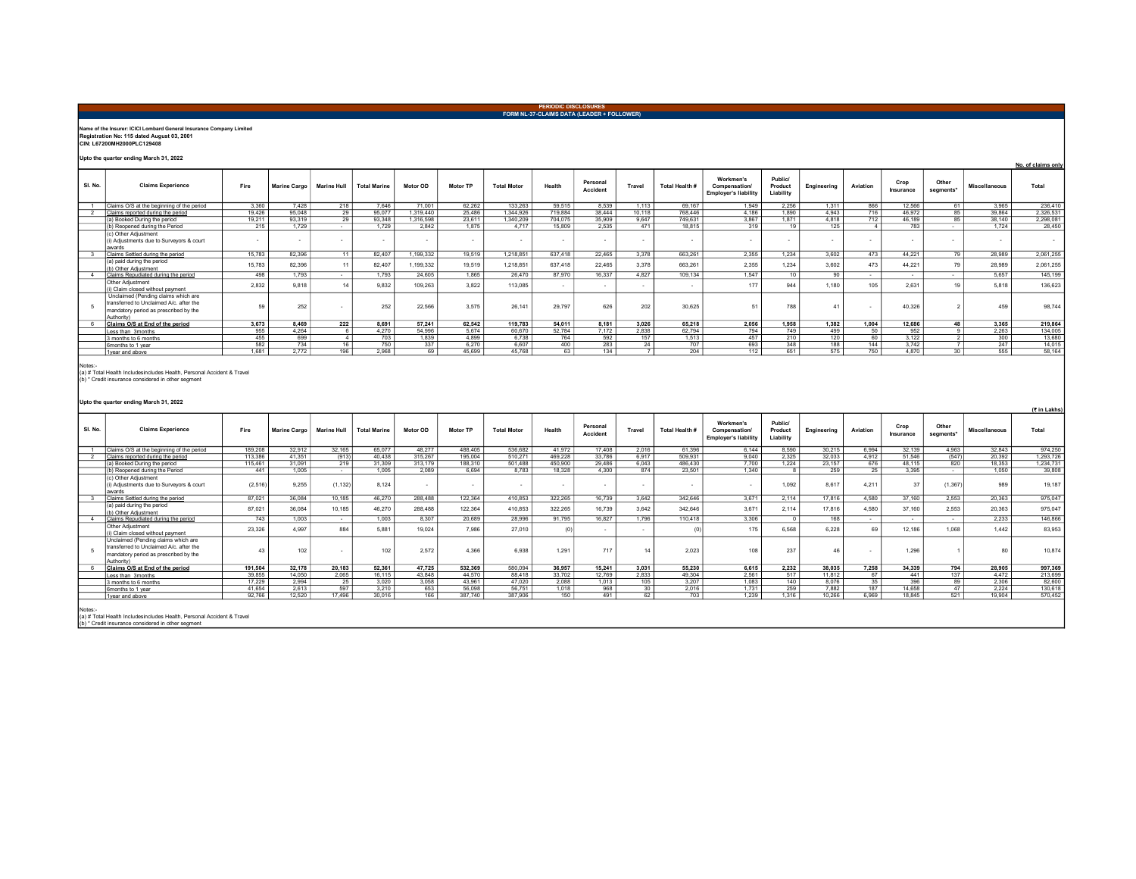## PERIODIC DISCLOSURES FORM NL-37-CLAIMS DATA (LEADER + FOLLOWER)

## Name of the Insurer: ICICI Lombard General Insurance Company Limited Registration No: 115 dated August 03, 2001 CIN: L67200MH2000PLC129408

Upto the quarter ending March 31, 2022

|         | opto the quarter ending march or, 2022                                                                                                |        |              |                    |                     |           |                 |                    |         |                      |        |                |                                                           |                                 |             |          |                   |                    |                      | No. of claims only |
|---------|---------------------------------------------------------------------------------------------------------------------------------------|--------|--------------|--------------------|---------------------|-----------|-----------------|--------------------|---------|----------------------|--------|----------------|-----------------------------------------------------------|---------------------------------|-------------|----------|-------------------|--------------------|----------------------|--------------------|
| SI, No. | <b>Claims Experience</b>                                                                                                              | Fire   | Marine Cargo | <b>Marine Hull</b> | <b>Total Marine</b> | Motor OD  | <b>Motor TP</b> | <b>Total Motor</b> | Health  | Personal<br>Accident | Travel | Total Health # | Workmen's<br>Compensation/<br><b>Employer's liability</b> | Public/<br>Product<br>Liability | Engineering | Aviation | Crop<br>Insurance | Other<br>segments* | <b>Miscellaneous</b> | Total              |
|         | Claims O/S at the beginning of the period                                                                                             | 3.360  | 7.428        | 218                | 7.646               | 71.001    | 62.262          | 133,263            | 59.515  | 8.539                | 1.113  | 69.167         | 1.949                                                     | 2.256                           | 1.311       | 866      | 12.566            | 61                 | 3.965                | 236,410            |
|         | Claims reported during the period                                                                                                     | 19.426 | 95,048       | 29                 | 95.077              | 1.319.440 | 25,486          | 1.344.926          | 719.884 | 38,444               | 10.118 | 768,446        | 4.186                                                     | 1.890                           | 4.943       | 716      | 46,972            | 85                 | 39,864               | 2,326,531          |
|         | (a) Booked During the period                                                                                                          | 19.211 | 93.319       | $\frac{29}{9}$     | 93.348              | 1.316.598 | 23.611          | 1.340.209          | 704.075 | 35,909               | 9.647  | 749.631        | 3.867                                                     | 1.871                           | 4.818       | 712      | 46.189            | 85                 | 38.140               | 2,298,081          |
|         | (b) Reopened during the Period                                                                                                        | 215    | 1.729        |                    | 1729                | 2842      | 1.875           | 4 7 1 7            | 15,809  | 2.535                | 471    | 18,815         | 319                                                       | 19                              | 125         |          | 783               | $\sim$             | 1.724                | 28,450             |
|         | (c) Other Adjustment<br>i) Adiustments due to Survevors & court<br>awards                                                             |        |              |                    |                     |           |                 |                    |         |                      |        |                |                                                           |                                 |             |          |                   |                    |                      | $\sim$             |
|         | Claims Settled during the period                                                                                                      | 15.783 | 82.396       | 11                 | 82,407              | 1.199.332 | 19,519          | 1.218.851          | 637.418 | 22,465               | 3.378  | 663,261        | 2.355                                                     | 1.234                           | 3.602       | 473      | 44.221            | 79                 | 28.989               | 2,061,255          |
|         | (a) paid during the period<br>(b) Other Adiustment                                                                                    | 15.783 | 82.396       |                    | 82.407              | 1,199,332 | 19,519          | 1,218,851          | 637.418 | 22,465               | 3.378  | 663.261        | 2.355                                                     | 1.234                           | 3.602       | 473      | 44.221            | 79                 | 28,989               | 2,061,255          |
|         | Claims Repudiated during the period                                                                                                   | 498    | 1.793        | $\sim$             | 1.793               | 24.605    | 1.865           | 26,470             | 87,970  | 16.337               | 4.827  | 109.134        | 1.547                                                     | 10 <sup>1</sup>                 | 90          | $\sim$   | $\sim$            | $\sim$             | 5.657                | 145.199            |
|         | Other Adiustment<br>i) Claim closed without payment                                                                                   | 2.832  | 9.818        |                    | 9.832               | 109.263   | 3.822           | 113.085            |         |                      |        |                | 177                                                       | 944                             | 1.180       | 105      | 2.631             | 19                 | 5.818                | 136,623            |
|         | Unclaimed (Pending claims which are<br>transferred to Unclaimed A/c, after the<br>mandatory period as prescribed by the<br>Authority) | 59     | 252          |                    | 252                 | 22,566    | 3.575           | 26.141             | 29,797  | 626                  | 202    | 30.625         | 51                                                        | 788                             | 41          |          | 40.326            |                    | 459                  | 98,744             |
|         | Claims O/S at End of the period                                                                                                       | 3.673  | 8.469        | 222                | 8.691               | 57.241    | 62.542          | 119,783            | 54.011  | 8.181                | 3.026  | 65,218         | 2.056                                                     | 1.958                           | 1,382       | 1.004    | 12.686            | 48                 | 3.365                | 219,864            |
|         | Less than 3months                                                                                                                     | 955    | 4.264        |                    | 4.270               | 54.996    | 5.674           | 60,670             | 52.784  | 7.172                | 2,838  | 62.794         | 794                                                       | 749                             | 499         | 50       | 952               |                    | 2.263                | 134,005            |
|         | 3 months to 6 months                                                                                                                  | 455    | 699          |                    | 703                 | 1.839     | 4.899           | 6.738              | 764     | 592                  | 157    | 1.513          | 457                                                       | 210                             | 120         | 60       | 3.122             |                    | 300                  | 13,680             |
|         | 6months to 1 year                                                                                                                     | 582    | 734          | 16                 | 750                 | 337       | 6.270           | 6.607              | 400     | 283                  | 24     | 707            | 693                                                       | 348                             | 188         | 144      | 3.742             |                    | 247                  | 14.015             |
|         | 1 vear and above                                                                                                                      | 1.681  | 2.772        | 196                | 2.968               | 69        | 45.699          | 45.768             | 63      | 134                  |        | 204            | 112                                                       | 651                             | 575         | 750      | 4.870             | 30                 | 555                  | 58,164             |
|         |                                                                                                                                       |        |              |                    |                     |           |                 |                    |         |                      |        |                |                                                           |                                 |             |          |                   |                    |                      |                    |

Notes:- (a) # Total Health Includesincludes Health, Personal Accident & Travel (b) \* Credit insurance considered in other segment

Upto the quarter ending March 31, 2022

| SI. No. | <b>Claims Experience</b>                                                                                                              | Fire     | <b>Marine Cargo</b> | <b>Marine Hull</b>  | <b>Total Marine</b> | Motor OD | <b>Motor TP</b> | <b>Total Motor</b> | Health                   | Personal<br>Accident | Travel | Total Health # | Workmen's<br>Compensation/<br><b>Employer's liability</b> | Public/<br>Product<br>Liability | Engineering | Aviation | Crop<br>Insurance | Other<br>segments* | <b>Miscellaneous</b> | Total     |
|---------|---------------------------------------------------------------------------------------------------------------------------------------|----------|---------------------|---------------------|---------------------|----------|-----------------|--------------------|--------------------------|----------------------|--------|----------------|-----------------------------------------------------------|---------------------------------|-------------|----------|-------------------|--------------------|----------------------|-----------|
|         | Claims O/S at the beginning of the period                                                                                             | 189,208  | 32.912              | 32.165              | 65.077              | 48,277   | 488,405         | 536.682            | 41.972                   | 17,408               | 2.016  | 61.396         | 6.144                                                     | 8,590                           | 30.215      | 6.994    | 32.139            | 4.963              | 32,843               | 974.250   |
|         | Claims reported during the period                                                                                                     | 113,386  | 41.351              | $\frac{(913)}{219}$ | 40.438              | 315 267  | 195 004         | 510.271            | 469.228                  | 33 786               | 6.917  | 509.931        | 9.040                                                     | 2.325                           | 32.033      | 4.912    | 51.546            | (547)              | 20.392               | 1.293.726 |
|         | (a) Booked During the period                                                                                                          | 115,461  | 31.091              |                     | 31.309              | 313.179  | 188,310         | 501.488            | 450,900                  | 29.486               | 6.043  | 486,430        | 7.700                                                     | 1.224                           | 23.157      | 676      | 48.115            | 820                | 18.353               | 1.234.731 |
|         | (b) Reopened during the Period                                                                                                        | 441      | 1 0 0 5             | $\sim$              | 1.005               | 2.089    | 6.694           | 8.783              | 18.328                   | 4 300                | 874    | 23.501         | 1.340                                                     |                                 | 259         | 25       | 3.395             | $\sim$             | 1.050                | 39,808    |
|         | (c) Other Adiustment<br>(i) Adiustments due to Survevors & court<br>awards                                                            | (2, 516) | 9.255               | (1, 132)            | 8.124               | $\sim$   |                 |                    | $\overline{\phantom{a}}$ |                      |        |                |                                                           | 1.092                           | 8.617       | 4.211    | 37                | (1, 367)           | 989                  | 19,187    |
|         | Claims Settled during the period                                                                                                      | 87.021   | 36.084              | 10.185              | 46.270              | 288,488  | 122,364         | 410.853            | 322.265                  | 16.739               | 3.642  | 342.646        | 3.671                                                     | 2.114                           | 17,816      | 4.580    | 37.160            | 2.553              | 20.363               | 975,047   |
|         | (a) paid during the period<br>(b) Other Adjustment                                                                                    | 87,021   | 36.084              | 10.185              | 46.270              | 288,488  | 122.364         | 410.853            | 322,265                  | 16,739               | 3.642  | 342.646        | 3.671                                                     | 2.114                           | 17,816      | 4.580    | 37.160            | 2.553              | 20.363               | 975.047   |
|         | Claims Repudiated during the period                                                                                                   | 743      | 1.003               | $\sim$              | 1.003               | 8.307    | 20,689          | 28,996             | 91.795                   | 16,827               | 1796   | 110.418        | 3.306                                                     |                                 | 168         | $\sim$   | $\sim$            | $\sim$             | 2.233                | 146,866   |
|         | Other Adiustment<br>(i) Claim closed without payment                                                                                  | 23,326   | 4 9 9 7             | 884                 | 5.881               | 19,024   | 7.986           | 27,010             |                          |                      |        |                | 175                                                       | 6.568                           | 6.228       | 69       | 12.186            | 1.068              | 1.442                | 83,953    |
|         | Unclaimed (Pending claims which are<br>transferred to Unclaimed A/c. after the<br>mandatory period as prescribed by the<br>Authority) | 43       | 102                 |                     | 102                 | 2,572    | 4.366           | 6.938              | 1.291                    | 717                  |        | 2,023          | 108                                                       | 237                             | 46          |          | 1.296             |                    | 80                   | 10,874    |
|         | Claims O/S at End of the period                                                                                                       | 191.504  | 32.178              | 20.183              | 52.361              | 47.725   | 532.369         | 580.094            | 36.957                   | 15.241               | 3.031  | 55,230         | 6.615                                                     | 2.232                           | 38.035      | 7.258    | 34.339            | 794                | 28.905               | 997,369   |
|         | Less than 3months                                                                                                                     | 39.855   | 14.050              | 2.065               | 16.115              | 43.848   | 44,570          | 88,418             | 33.702                   | 12.769               | 2.833  | 49.304         | 2.561                                                     | $\frac{1}{517}$                 | 11.812      | 67       | 441               | 137                | 4.472                | 213,699   |
|         | 3 months to 6 months                                                                                                                  | 17.229   | 2.994               | 25                  | 3,020               | 3,058    | 43.961          | 47.020             | 2,088                    | 1,013                | 105    | 3.207          | 1.083                                                     | 140                             | 8,076       | 35       | 396               | 89                 | 2,306                | 82,600    |
|         | 6months to 1 year                                                                                                                     | 41.654   | 2.613               | 597                 | 3.210               | 653      | 56,098          | 56.751             | 1.018                    | 968                  | 30     | 2.016          | 1.731                                                     | 259                             | 7.882       | 187      | 14.658            | 47                 | 2.224                | 130,618   |
|         | 1 year and above                                                                                                                      | 92.766   | 12,520              | 17,496              | 30.016              | 166      | 387,740         | 387,906            | 150                      | 491                  | 62     | 703            | 1.239                                                     | 1.316                           | 10.266      | 6.969    | 18,845            | 521                | 19,904               | 570.452   |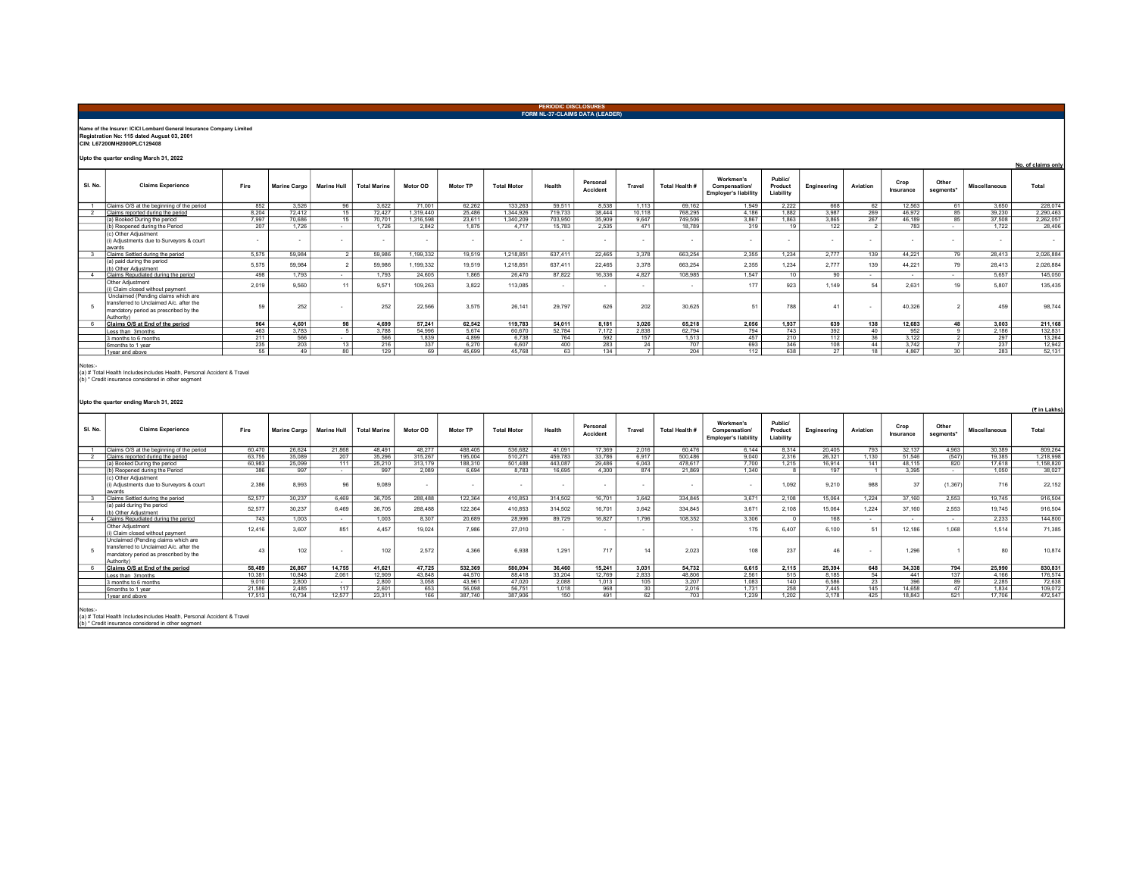## Name of the Insurer: ICICI Lombard General Insurance Company Limited Registration No: 115 dated August 03, 2001 CIN: L67200MH2000PLC129408 Upto the quarter ending March 31, 2022 SL. No. Claims Experience Fire Marine Cargo Marine Hull Total Marine Motor OD Motor TP Total Motor Health Personal Travel Total Health # Workmen's Compensation/ Employer's liability Public/ Product Liability Engineering Aviation Crop<br>Insurance Other Other Miscellaneous Total 1 Claims O/S at the beginning of the period 852 3,526 96 3,622 71,001 62,262 133,263 59,511 8,538 1,113 69,162 1,949 2,222 668 62 12,563 61 3,650 228,074 2 Claims reported during the period<br>
8,304 72,412 16 8,204 72,412 16,486 1,412 1,412 1,412 1,419,446 1,487<br>
8,412 1,499,440 269 1,489 1,489 1,482 3,444 10,118 1,482 3,482 3,482 3,482 3,482 3,482 39,230 1,419 2,412 85<br>
8,41 (a) Booked During the period 7,997 70,686 15 70,701 1,316,598 2,811 1,340,209 703,950 35,909 9,647 749,506 3,867 1,863 3,865 2,862 267 46,189 85 37,508 2,262,057 (b) Reopened during the Period | 207 | 1,726 | 1,726 | 2,842 | 1,875 | 4,717 | 15,783 | 2,535 | 471 | 18,789 | 319 | 19 | 122 | 21 783 | 1,722 | 28,406 (c) Other Adjustment (i) Adjustments due to Surveyors & court awards والمستطرح المناسب المستطرح المستطرح المستطرح المستطرح المستطرح المستطرح المستطرح المستطرح المستطرح المستطرح ال 3 Claims Settled during the period 5,575 59,984 2 59,986 1,199,332 19,519 1,218,851 637,411 22,465 3,378 663,254 2,355 1,234 2,777 139 44,221 79 28,413 2,026,884 (a) paid during the period (b) Other Adjustment 59,984 5,575 2 59,986 1,199,332 19,519 1,218,851 637,411 22,465 3,378 663,254 2,355 1,234 2,777 139 44,221 79 28,413 2,026,884 4 |Claims Repudiated during the period | 498 | 1,793 | 1,793 | 24,605 | 1,865 | 26,470 | 87,822 | 16,336 | 4,827 | 108,985 | 1,847 | 10 | 90 | - | - | 5,657 | 145,050 Other Adjustment -vier ~views-unien. 1990, 2009 12,019 109,263 3,822 113,085 - - - - 177 923 1,149 54 2,631 19 5,807 135,435<br>(i)Claim closed without payment | 2,019 9,560 11 9,571 109,263 3,822 113,085 - | - | - | - 177 923 1,149 54 2,631 5 Unclaim closed without payment<br>Unclaimed (Pending claims which are transferred to Unclaimed A/c. after the mandatory period as prescribed by the Authority) 59 - 252 - 252 - 252 - 2536 25,575 26,141 29,797 626 202 - 30,625 - 51 788 - 41 - 40,326 - 2 - 459 - 98,744 5 Claims O/S at End of the period 964 4,601 98 4,699 57,241 62,542 119,783 54,011 8,181 3,026 65,218 2,056 1,937 639 138 12,683 48 3,003 211,168<br>Less than 3months 463 3,783 5 3,788 54,996 5,674 60,670 52,784 7,172 2,838 62 Less than 3months 463 | 3,783 | 5 | 3,788 | 54,996 | 5,674 | 60,670 | 52,784 | 7,172 | 2,838 | 62,794 | 794 | 743 | 392 | 40 | 952 | 9 | 2,186 | 132,831 3 months to 6 months 211 566 - 566 1,839 4,899 6,738 764 592 157 1,513 457 210 112 36 3,122 2 297 13,264 6months to 1 year 235 203 13 216 337 6,270 6,607 400 283 24 707 693 346 108 44 3,742 7 237 12,942 1year and above 55 | 49 80 129 69 45,699 45,768 63 134 7 204 112 638 27 18 4,867 30 283 52,131 Upto the quarter ending March 31, 2022 (रैं in Lakhs) PERIODIC DISCLOSURES FORM NL-37-CLAIMS DATA (LEADER) No. of claims only Notes:- (a) # Total Health Includesincludes Health, Personal Accident & Travel (b) \* Credit insurance considered in other segment

| SI. No. | <b>Claims Experience</b>                                                                                                             | Fire   | Marine Cargo | <b>Marine Hull</b> | <b>Total Marine</b> | Motor OD | Motor TP | <b>Total Motor</b> | Health  | Personal<br>Accident | Travel                   | Total Health # | Workmen's<br><b>Compensation</b><br><b>Employer's liability</b> | Public/<br>Product<br>Liability | Engineering | Aviation        | Crop<br>Insurance | Other<br>segments* | <b>Miscellaneous</b> | Total     |
|---------|--------------------------------------------------------------------------------------------------------------------------------------|--------|--------------|--------------------|---------------------|----------|----------|--------------------|---------|----------------------|--------------------------|----------------|-----------------------------------------------------------------|---------------------------------|-------------|-----------------|-------------------|--------------------|----------------------|-----------|
|         | Claims O/S at the beginning of the period                                                                                            | 60.470 | 26.624       | 21,868             | 48.491              | 48,277   | 488,405  | 536.682            | 41.091  | 17,369               | 2.016                    | 60,476         | 6.144                                                           | 8.314                           | 20.405      | 793             | 32.137            | 4.963              | 30,389               | 809.264   |
|         | Claims reported during the period                                                                                                    | 63.755 | 35,089       | 207                | 35.296              | 315 267  | 195,004  | 510.271            | 459,783 | 33,786               | 6.917                    | 500.486        | 9.040                                                           | 2.316                           | 26.321      | 1.130           | 51.546            | (547)              | 19 385               | 1.218.998 |
|         | (a) Booked During the period                                                                                                         | 60,983 | 25.099       | 111                | 25,210              | 313,179  | 188,310  | 501,488            | 443,087 | 29.486               | 6.043                    | 478.617        | 7.700                                                           | 1.215                           | 16.914      | 141             | 48.115            | 820                | 17.618               | 1,158,820 |
|         | (b) Reopened during the Period                                                                                                       | 386    | 997          | $\sim$             | 997                 | 2.089    | 6.694    | 8.783              | 16.695  | 4.300                | 874                      | 21.869         | 1.340                                                           |                                 | 197         |                 | 3.395             | $\sim$             | 1.050                | 38,027    |
|         | (c) Other Adjustment<br>(i) Adjustments due to Survevors & court<br>awards                                                           | 2.386  | 8.993        | 96                 | 9,089               | $\sim$   |          | $\sim$             | ۰.      |                      | $\overline{\phantom{a}}$ | $\sim$         |                                                                 | 1.092                           | 9,210       | 988             | 37                | (1, 367)           | 716                  | 22,152    |
|         | Claims Settled during the period                                                                                                     | 52,577 | 30 237       | 6469               | 36,705              | 288 488  | 122.364  | 410853             | 314,502 | 16 701               | 3642                     | 334 845        | 3671                                                            | 2 108                           | 15 064      | 1 2 2 4         | 37 160            | 2.553              | 19 745               | 916,504   |
|         | (a) paid during the period<br>(b) Other Adjustment                                                                                   | 52,577 | 30.237       | 6.469              | 36,705              | 288,488  | 122.364  | 410,853            | 314,502 | 16,701               | 3.642                    | 334,845        | 3.671                                                           | 2.108                           | 15,064      | 1.224           | 37,160            | 2,553              | 19,745               | 916,504   |
|         | Claims Repudiated during the period                                                                                                  | 743    | 1 003        | $\sim$             | 1.003               | 8.307    | 20,689   | 28,996             | 89.729  | 16,827               | 1796                     | 108,352        | 3.306                                                           |                                 | 168         | $\sim$          | $\sim$            | $\sim$             | 2.233                | 144,800   |
|         | Other Adjustment<br>(i) Claim closed without payment                                                                                 | 12.416 | 3.607        | 851                | 4.457               | 19.024   | 7.986    | 27,010             |         |                      |                          |                | 175                                                             | 6407                            | 6.100       | 51              | 12.186            | 1.068              | 1.514                | 71.385    |
|         | Unclaimed (Pending claims which are<br>transferred to Unclaimed A/c, after the<br>mandatory period as prescribed by the<br>Authority | 43     | 102          |                    | 102                 | 2,572    | 4,366    | 6,938              | 1.291   | 717                  |                          | 2,023          | 108                                                             | 237                             | 46          |                 | 1,296             |                    | 80                   | 10,874    |
|         | Claims O/S at End of the period                                                                                                      | 58,489 | 26.867       | 14.755             | 41.621              | 47.725   | 532.369  | 580.094            | 36,460  | 15.241               | 3.031                    | 54.732         | 6.615                                                           | 2.115                           | 25.394      | 648             | 34.338            | 794                | 25,990               | 830.831   |
|         | Less than 3months                                                                                                                    | 10.381 | 10.848       | 2.061              | 12.909              | 43.848   | 44,570   | 88,418             | 33.204  | 12,769               | 2.833                    | 48,806         | 2.561                                                           | 515                             | 8.185       | 54              | 441               | 137                | 4.166                | 176,574   |
|         | 3 months to 6 months                                                                                                                 | 9.010  | 2.800        | $\sim$             | 2.800               | 3.058    | 43.961   | 47.020             | 2.088   | 1.013                | 105                      | 3.207          | 1 083                                                           | 140                             | 6.586       | $\overline{23}$ | 396               | 89                 | 2.285                | 72.638    |
|         | 6months to 1 year                                                                                                                    | 21,586 | 2,485        | 117                | 2,601               | 653      | 56,098   | 56.751             | 1,018   | 968                  | 30                       | 2,016          | 1,731                                                           | 258                             | 7,445       | 145             | 14,658            | 47                 | 1.834                | 109,072   |
|         | 1 wear and above                                                                                                                     | 17.513 | 10.734       | 12.577             | 23.311              | 166      | 387.740  | 387,906            | 150     | 491                  | 62                       | 703            | 1.239                                                           | 1.202                           | 3.178       | 425             | 18,843            | 521                | 17,706               | 472.547   |
| Notes:- | (a) # Total Health Includesincludes Health, Personal Accident & Travel<br>(b) * Credit insurance considered in other seament         |        |              |                    |                     |          |          |                    |         |                      |                          |                |                                                                 |                                 |             |                 |                   |                    |                      |           |

(b) \* Credit insurance considered in other segment